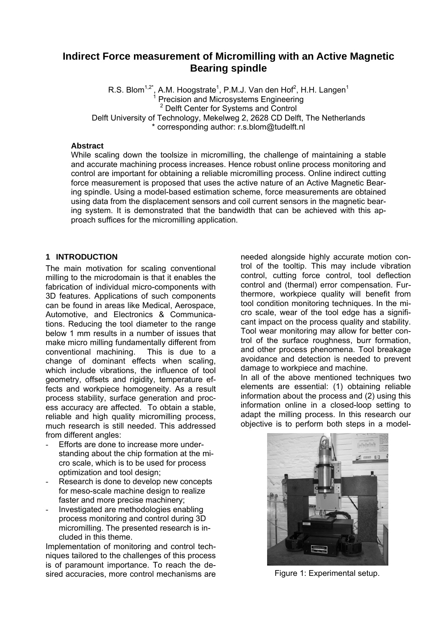# **Indirect Force measurement of Micromilling with an Active Magnetic Bearing spindle**

R.S. Blom<sup>1,2\*</sup>, A.M. Hoogstrate<sup>1</sup>, P.M.J. Van den Hof<sup>2</sup>, H.H. Langen<sup>1</sup><br><sup>1</sup> Precision and Microsystems Engineering <sup>2</sup> Delft Center for Systems and Control Delft University of Technology, Mekelweg 2, 2628 CD Delft, The Netherlands \* corresponding author: r.s.blom@tudelft.nl

#### **Abstract**

While scaling down the toolsize in micromilling, the challenge of maintaining a stable and accurate machining process increases. Hence robust online process monitoring and control are important for obtaining a reliable micromilling process. Online indirect cutting force measurement is proposed that uses the active nature of an Active Magnetic Bearing spindle. Using a model-based estimation scheme, force measurements are obtained using data from the displacement sensors and coil current sensors in the magnetic bearing system. It is demonstrated that the bandwidth that can be achieved with this approach suffices for the micromilling application.

# **1 INTRODUCTION**

The main motivation for scaling conventional milling to the microdomain is that it enables the fabrication of individual micro-components with 3D features. Applications of such components can be found in areas like Medical, Aerospace, Automotive, and Electronics & Communications. Reducing the tool diameter to the range below 1 mm results in a number of issues that make micro milling fundamentally different from conventional machining. This is due to a change of dominant effects when scaling, which include vibrations, the influence of tool geometry, offsets and rigidity, temperature effects and workpiece homogeneity. As a result process stability, surface generation and process accuracy are affected. To obtain a stable, reliable and high quality micromilling process, much research is still needed. This addressed from different angles:

- Efforts are done to increase more understanding about the chip formation at the micro scale, which is to be used for process optimization and tool design;
- Research is done to develop new concepts for meso-scale machine design to realize faster and more precise machinery;
- Investigated are methodologies enabling process monitoring and control during 3D micromilling. The presented research is included in this theme.

Implementation of monitoring and control techniques tailored to the challenges of this process is of paramount importance. To reach the desired accuracies, more control mechanisms are

needed alongside highly accurate motion control of the tooltip. This may include vibration control, cutting force control, tool deflection control and (thermal) error compensation. Furthermore, workpiece quality will benefit from tool condition monitoring techniques. In the micro scale, wear of the tool edge has a significant impact on the process quality and stability. Tool wear monitoring may allow for better control of the surface roughness, burr formation, and other process phenomena. Tool breakage avoidance and detection is needed to prevent damage to workpiece and machine.

In all of the above mentioned techniques two elements are essential: (1) obtaining reliable information about the process and (2) using this information online in a closed-loop setting to adapt the milling process. In this research our objective is to perform both steps in a model-



Figure 1: Experimental setup.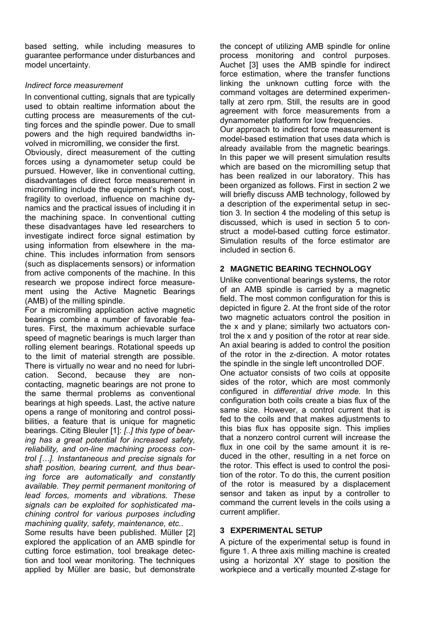based setting, while including measures to guarantee performance under disturbances and model uncertainty.

# *Indirect force measurement*

In conventional cutting, signals that are typically used to obtain realtime information about the cutting process are measurements of the cutting forces and the spindle power. Due to small powers and the high required bandwidths involved in micromilling, we consider the first.

Obviously, direct measurement of the cutting forces using a dynamometer setup could be pursued. However, like in conventional cutting, disadvantages of direct force measurement in micromilling include the equipment's high cost, fragility to overload, influence on machine dynamics and the practical issues of including it in the machining space. In conventional cutting these disadvantages have led researchers to investigate indirect force signal estimation by using information from elsewhere in the machine. This includes information from sensors (such as displacements sensors) or information from active components of the machine. In this research we propose indirect force measurement using the Active Magnetic Bearings (AMB) of the milling spindle.

For a micromilling application active magnetic bearings combine a number of favorable features. First, the maximum achievable surface speed of magnetic bearings is much larger than rolling element bearings. Rotational speeds up to the limit of material strength are possible. There is virtually no wear and no need for lubrication. Second, because they are noncontacting, magnetic bearings are not prone to the same thermal problems as conventional bearings at high speeds. Last, the active nature opens a range of monitoring and control possibilities, a feature that is unique for magnetic bearings. Citing Bleuler [1]: *[..] this type of bearing has a great potential for increased safety, reliability, and on-line machining process control […]. Instantaneous and precise signals for shaft position, bearing current, and thus bearing force are automatically and constantly available. They permit permanent monitoring of lead forces, moments and vibrations. These signals can be exploited for sophisticated machining control for various purposes including machining quality, safety, maintenance, etc.*.

Some results have been published. Müller [2] explored the application of an AMB spindle for cutting force estimation, tool breakage detection and tool wear monitoring. The techniques applied by Müller are basic, but demonstrate

the concept of utilizing AMB spindle for online process monitoring and control purposes. Auchet [3] uses the AMB spindle for indirect force estimation, where the transfer functions linking the unknown cutting force with the command voltages are determined experimentally at zero rpm. Still, the results are in good agreement with force measurements from a dynamometer platform for low frequencies. Our approach to indirect force measurement is model-based estimation that uses data which is already available from the magnetic bearings. In this paper we will present simulation results which are based on the micromilling setup that has been realized in our laboratory. This has been organized as follows. First in section 2 we will briefly discuss AMB technology, followed by a description of the experimental setup in section 3. In section 4 the modeling of this setup is discussed, which is used in section 5 to construct a model-based cutting force estimator. Simulation results of the force estimator are included in section 6.

# **2 MAGNETIC BEARING TECHNOLOGY**

Unlike conventional bearings systems, the rotor of an AMB spindle is carried by a magnetic field. The most common configuration for this is depicted in figure 2. At the front side of the rotor two magnetic actuators control the position in the x and y plane; similarly two actuators control the x and y position of the rotor at rear side. An axial bearing is added to control the position of the rotor in the z-direction. A motor rotates the spindle in the single left uncontrolled DOF. One actuator consists of two coils at opposite sides of the rotor, which are most commonly configured in *differential drive mode.* In this configuration both coils create a bias flux of the same size. However, a control current that is fed to the coils and that makes adjustments to this bias flux has opposite sign. This implies that a nonzero control current will increase the flux in one coil by the same amount it is reduced in the other, resulting in a net force on the rotor. This effect is used to control the position of the rotor. To do this, the current position of the rotor is measured by a displacement sensor and taken as input by a controller to command the current levels in the coils using a current amplifier.

### **3 EXPERIMENTAL SETUP**

A picture of the experimental setup is found in figure 1. A three axis milling machine is created using a horizontal XY stage to position the workpiece and a vertically mounted Z-stage for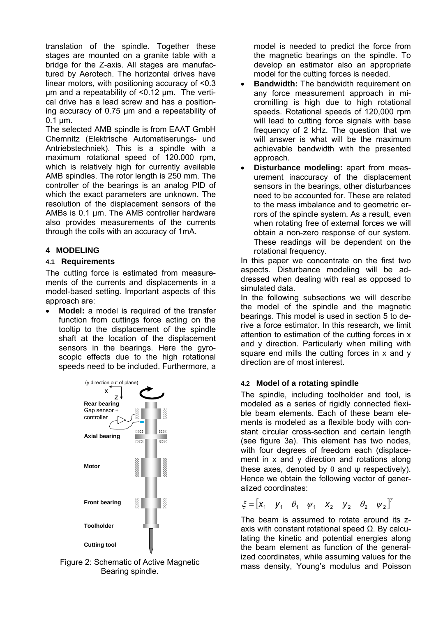translation of the spindle. Together these stages are mounted on a granite table with a bridge for the Z-axis. All stages are manufactured by Aerotech. The horizontal drives have linear motors, with positioning accuracy of <0.3 µm and a repeatability of <0.12 µm. The vertical drive has a lead screw and has a positioning accuracy of 0.75 µm and a repeatability of  $0.1 \mu m$ .

The selected AMB spindle is from EAAT GmbH Chemnitz (Elektrische Automatiserungs- und Antriebstechniek). This is a spindle with a maximum rotational speed of 120.000 rpm, which is relatively high for currently available AMB spindles. The rotor length is 250 mm. The controller of the bearings is an analog PID of which the exact parameters are unknown. The resolution of the displacement sensors of the AMBs is 0.1 μm. The AMB controller hardware also provides measurements of the currents through the coils with an accuracy of 1mA.

# **4 MODELING**

#### **4.1 Requirements**

The cutting force is estimated from measurements of the currents and displacements in a model-based setting. Important aspects of this approach are:

**Model:** a model is required of the transfer function from cuttings force acting on the tooltip to the displacement of the spindle shaft at the location of the displacement sensors in the bearings. Here the gyroscopic effects due to the high rotational speeds need to be included. Furthermore, a



Figure 2: Schematic of Active Magnetic Bearing spindle.

model is needed to predict the force from the magnetic bearings on the spindle. To develop an estimator also an appropriate model for the cutting forces is needed.

- **Bandwidth:** The bandwidth requirement on any force measurement approach in micromilling is high due to high rotational speeds. Rotational speeds of 120,000 rpm will lead to cutting force signals with base frequency of 2 kHz. The question that we will answer is what will be the maximum achievable bandwidth with the presented approach.
- **Disturbance modeling:** apart from measurement inaccuracy of the displacement sensors in the bearings, other disturbances need to be accounted for. These are related to the mass imbalance and to geometric errors of the spindle system. As a result, even when rotating free of external forces we will obtain a non-zero response of our system. These readings will be dependent on the rotational frequency.

In this paper we concentrate on the first two aspects. Disturbance modeling will be addressed when dealing with real as opposed to simulated data.

In the following subsections we will describe the model of the spindle and the magnetic bearings. This model is used in section 5 to derive a force estimator. In this research, we limit attention to estimation of the cutting forces in x and y direction. Particularly when milling with square end mills the cutting forces in x and y direction are of most interest.

### **4.2 Model of a rotating spindle**

The spindle, including toolholder and tool, is modeled as a series of rigidly connected flexible beam elements. Each of these beam elements is modeled as a flexible body with constant circular cross-section and certain length (see figure 3a). This element has two nodes, with four degrees of freedom each (displacement in x and y direction and rotations along these axes, denoted by  $\theta$  and  $\psi$  respectively). Hence we obtain the following vector of generalized coordinates:

$$
\xi = \begin{bmatrix} x_1 & y_1 & \theta_1 & \psi_1 & x_2 & y_2 & \theta_2 & \psi_2 \end{bmatrix}^T
$$

The beam is assumed to rotate around its zaxis with constant rotational speed  $Ω$ . By calculating the kinetic and potential energies along the beam element as function of the generalized coordinates, while assuming values for the mass density, Young's modulus and Poisson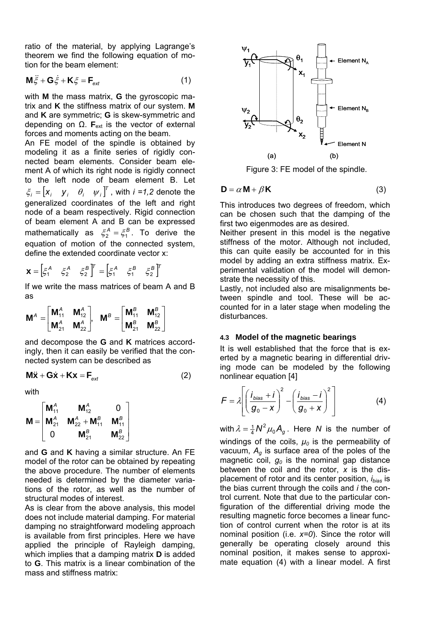ratio of the material, by applying Lagrange's theorem we find the following equation of motion for the beam element:

$$
\mathbf{M}\ddot{\xi} + \mathbf{G}\dot{\xi} + \mathbf{K}\xi = \mathbf{F}_{ext}
$$
 (1)

with **M** the mass matrix, **G** the gyroscopic matrix and **K** the stiffness matrix of our system. **M** and **K** are symmetric; **G** is skew-symmetric and depending on  $Ω$ . **F**<sub>ext</sub> is the vector of external forces and moments acting on the beam.

An FE model of the spindle is obtained by modeling it as a finite series of rigidly connected beam elements. Consider beam element A of which its right node is rigidly connect to the left node of beam element B. Let  $\xi_i = [x_i \quad y_i \quad \theta_i \quad \psi_i]^T$ , with  $i = 1,2$  denote the generalized coordinates of the left and right node of a beam respectively. Rigid connection of beam element A and B can be expressed mathematically as  $\xi_2^A = \xi_1^B$ . To derive the equation of motion of the connected system, define the extended coordinate vector x:

$$
\mathbf{X} = \begin{bmatrix} \xi^A & \xi^A & \xi^B \end{bmatrix}^T = \begin{bmatrix} \xi^A & \xi^B & \xi^B \end{bmatrix}^T
$$

If we write the mass matrices of beam A and B as

$$
\bm{M}^A = \begin{bmatrix} \bm{M}_{11}^A & \bm{M}_{12}^A \\ \bm{M}_{21}^A & \bm{M}_{22}^A \end{bmatrix}, \quad \bm{M}^B = \begin{bmatrix} \bm{M}_{11}^B & \bm{M}_{12}^B \\ \bm{M}_{21}^B & \bm{M}_{22}^B \end{bmatrix}
$$

and decompose the **G** and **K** matrices accordingly, then it can easily be verified that the connected system can be described as

$$
\mathbf{M}\ddot{\mathbf{x}} + \mathbf{G}\dot{\mathbf{x}} + \mathbf{K}\mathbf{x} = \mathbf{F}_{\text{ext}} \tag{2}
$$

with

$$
\mathbf{M} = \begin{bmatrix} \mathbf{M}_{11}^{A} & \mathbf{M}_{12}^{A} & 0 \\ \mathbf{M}_{21}^{A} & \mathbf{M}_{22}^{A} + \mathbf{M}_{11}^{B} & \mathbf{M}_{11}^{B} \\ 0 & \mathbf{M}_{21}^{B} & \mathbf{M}_{22}^{B} \end{bmatrix}
$$

and **G** and **K** having a similar structure. An FE model of the rotor can be obtained by repeating the above procedure. The number of elements needed is determined by the diameter variations of the rotor, as well as the number of structural modes of interest.

As is clear from the above analysis, this model does not include material damping. For material damping no straightforward modeling approach is available from first principles. Here we have applied the principle of Rayleigh damping, which implies that a damping matrix **D** is added to **G**. This matrix is a linear combination of the mass and stiffness matrix:



Figure 3: FE model of the spindle.

$$
\mathbf{D} = \alpha \mathbf{M} + \beta \mathbf{K} \tag{3}
$$

This introduces two degrees of freedom, which can be chosen such that the damping of the first two eigenmodes are as desired.

Neither present in this model is the negative stiffness of the motor. Although not included, this can quite easily be accounted for in this model by adding an extra stiffness matrix. Experimental validation of the model will demonstrate the necessity of this.

Lastly, not included also are misalignments between spindle and tool. These will be accounted for in a later stage when modeling the disturbances.

#### **4.3 Model of the magnetic bearings**

It is well established that the force that is exerted by a magnetic bearing in differential driving mode can be modeled by the following nonlinear equation [4]

$$
F = \lambda \left[ \left( \frac{i_{bias} + i}{g_0 - x} \right)^2 - \left( \frac{i_{bias} - i}{g_0 + x} \right)^2 \right]
$$
 (4)

with  $\lambda = \frac{1}{4}N^2\mu_0A_g$  $\lambda = \frac{1}{4}N^2 \mu_0 A_g$ . Here *N* is the number of windings of the coils,  $\mu_0$  is the permeability of vacuum, *Ag* is surface area of the poles of the magnetic coil,  $g_0$  is the nominal gap distance between the coil and the rotor, *x* is the displacement of rotor and its center position, *ibias* is the bias current through the coils and *i* the control current. Note that due to the particular configuration of the differential driving mode the resulting magnetic force becomes a linear function of control current when the rotor is at its nominal position (i.e. *x=0*). Since the rotor will generally be operating closely around this nominal position, it makes sense to approximate equation (4) with a linear model. A first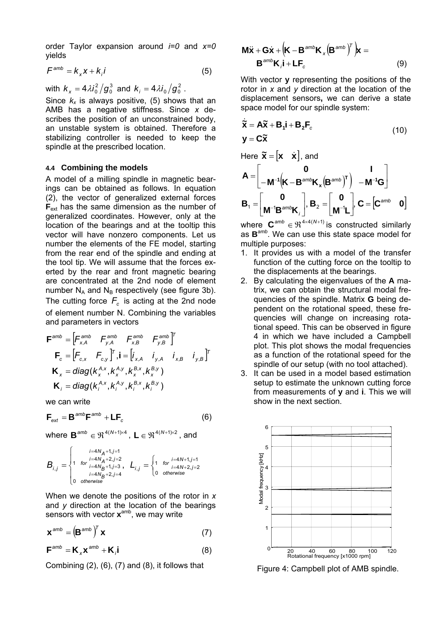order Taylor expansion around *i=0* and *x=0* yields

$$
F^{amb} = k_x x + k_i i \tag{5}
$$

with  $k_x = 4\lambda i_0^2 / g_0^3$  and  $k_i = 4\lambda i_0 / g_0^2$ .

Since  $k_x$  is always positive, (5) shows that an AMB has a negative stiffness. Since *x* describes the position of an unconstrained body, an unstable system is obtained. Therefore a stabilizing controller is needed to keep the spindle at the prescribed location.

#### **4.4 Combining the models**

A model of a milling spindle in magnetic bearings can be obtained as follows. In equation (2), the vector of generalized external forces **F**<sub>ext</sub> has the same dimension as the number of generalized coordinates. However, only at the location of the bearings and at the tooltip this vector will have nonzero components. Let us number the elements of the FE model, starting from the rear end of the spindle and ending at the tool tip. We will assume that the forces exerted by the rear and front magnetic bearing are concentrated at the 2nd node of element number  $N_A$  and  $N_B$  respectively (see figure 3b). The cutting force  $F_c$  is acting at the 2nd node of element number N. Combining the variables and parameters in vectors

$$
\mathbf{F}^{amb} = \begin{bmatrix} F^{amb}_{x,A} & F^{amb}_{y,A} & F^{amb}_{x,B} & F^{amb}_{y,B} \end{bmatrix}^T
$$

$$
\mathbf{F}_c = \begin{bmatrix} F_{c,x} & F_{c,y} \end{bmatrix}^T, \mathbf{i} = \begin{bmatrix} i_{x,A} & i_{y,A} & i_{x,B} & i_{y,B} \end{bmatrix}^T
$$

$$
\mathbf{K}_x = \text{diag}(k_x^{A,x}, k_x^{A,y}, k_x^{B,x}, k_x^{B,y})
$$

$$
\mathbf{K}_i = \text{diag}(k_x^{A,x}, k_y^{A,y}, k_y^{B,x}, k_y^{B,y})
$$

we can write

$$
\mathbf{F}_{ext} = \mathbf{B}^{amb} \mathbf{F}^{amb} + \mathbf{L} \mathbf{F}_c
$$
 (6)

where  $\mathbf{B}^{amb} \in \Re^{4(N+1)\times 4}$ .  $\mathbf{L} \in \Re^{4(N+1)\times 2}$ , and

$$
B_{i,j}=\begin{cases} \begin{matrix} & i=4N_A+1,j=1\\ 1 & \text{for } i=4N_A+2,j=2\\ & i=4N_B+1,j=3\\ & i=4N_B+2,j=4 \end{matrix} \end{cases} L_{i,j}=\begin{cases} \begin{matrix} & \text{for } i=4N+1,j=1\\ 1 & \text{for } i=4N+2,j=2\\ 0 & \text{otherwise} \end{matrix} \end{cases}
$$

When we denote the positions of the rotor in *x* and *y* direction at the location of the bearings sensors with vector **x**amb, we may write

$$
\mathbf{x}^{amb} = \left(\mathbf{B}^{amb}\right)^T \mathbf{x}
$$
 (7)

$$
\mathbf{F}^{amb} = \mathbf{K}_{x} \mathbf{x}^{amb} + \mathbf{K}_{i} \mathbf{i}
$$
 (8)

Combining (2), (6), (7) and (8), it follows that

$$
\mathbf{M}\ddot{\mathbf{x}} + \mathbf{G}\dot{\mathbf{x}} + \left(\mathbf{K} - \mathbf{B}^{amb}\mathbf{K}_{x}\left(\mathbf{B}^{amb}\right)^{T}\right)\mathbf{x} = \mathbf{B}^{amb}\mathbf{K}_{i}\mathbf{i} + \mathbf{L}\mathbf{F}_{c}
$$
 (9)

With vector **y** representing the positions of the rotor in *x* and *y* direction at the location of the displacement sensors**,** we can derive a state space model for our spindle system:

$$
\dot{\tilde{\mathbf{X}}} = \mathbf{A}\tilde{\mathbf{X}} + \mathbf{B}_1 \mathbf{i} + \mathbf{B}_2 \mathbf{F}_c
$$
\n
$$
\mathbf{y} = \mathbf{C}\tilde{\mathbf{X}} \tag{10}
$$

Here 
$$
\tilde{\mathbf{x}} = [\mathbf{x} \quad \dot{\mathbf{x}}]
$$
, and  
\n
$$
\mathbf{A} = \begin{bmatrix} \mathbf{0} & \mathbf{I} \\ -\mathbf{M}^{-1} (\mathbf{K} - \mathbf{B}^{amb} \mathbf{K}_x (\mathbf{B}^{amb})^T) & -\mathbf{M}^{-1} \mathbf{G} \end{bmatrix}
$$
\n
$$
\mathbf{B}_1 = \begin{bmatrix} \mathbf{0} \\ \mathbf{M}^{-1} \mathbf{B}^{amb} \mathbf{K}_1 \end{bmatrix}, \mathbf{B}_2 = \begin{bmatrix} \mathbf{0} \\ \mathbf{M}^{-1} \mathbf{L} \end{bmatrix}, \mathbf{C} = \begin{bmatrix} \mathbf{C}^{amb} & \mathbf{0} \end{bmatrix}
$$

where  $\mathbf{C}^{amb} \in \mathfrak{R}^{4 \times 4(N+1)}$  is constructed similarly as **B** *amb*. We can use this state space model for multiple purposes:

- 1. It provides us with a model of the transfer function of the cutting force on the tooltip to the displacements at the bearings.
- 2. By calculating the eigenvalues of the **A** matrix, we can obtain the structural modal frequencies of the spindle. Matrix **G** being dependent on the rotational speed, these frequencies will change on increasing rotational speed. This can be observed in figure 4 in which we have included a Campbell plot. This plot shows the modal frequencies as a function of the rotational speed for the spindle of our setup (with no tool attached).
- 3. It can be used in a model based estimation setup to estimate the unknown cutting force from measurements of **y** and **i**. This we will show in the next section.



Figure 4: Campbell plot of AMB spindle.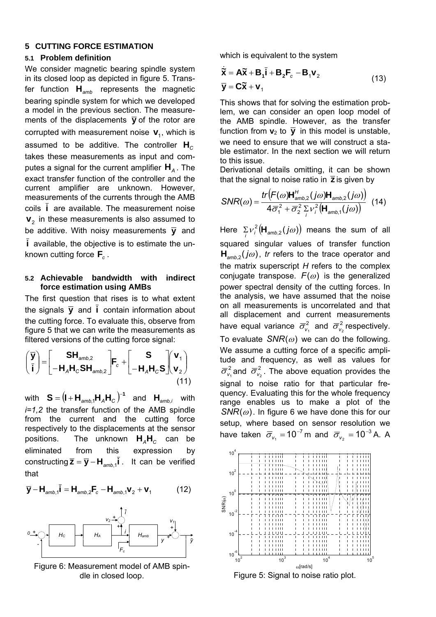#### **5 CUTTING FORCE ESTIMATION**

#### **5.1 Problem definition**

We consider magnetic bearing spindle system in its closed loop as depicted in figure 5. Transfer function  $H_{\text{amb}}$  represents the magnetic bearing spindle system for which we developed a model in the previous section. The measurements of the displacements  $\overline{y}$  of the rotor are corrupted with measurement noise  $\mathbf{v}_1$ , which is assumed to be additive. The controller  $\mathsf{H}_{\mathsf{C}}$ takes these measurements as input and computes a signal for the current amplifier  $H_A$ . The exact transfer function of the controller and the current amplifier are unknown. However, measurements of the currents through the AMB coils **i** are available. The measurement noise  $\mathbf{v}_2$  in these measurements is also assumed to be additive. With noisy measurements  $\bar{y}$  and **i** available, the objective is to estimate the unknown cutting force  $\mathbf{F}_c$ .

#### **5.2 Achievable bandwidth with indirect force estimation using AMBs**

The first question that rises is to what extent the signals  $\overline{y}$  and  $\overline{i}$  contain information about the cutting force. To evaluate this, observe from figure 5 that we can write the measurements as filtered versions of the cutting force signal:

$$
\begin{pmatrix} \overline{\mathbf{y}} \\ \overline{\mathbf{i}} \end{pmatrix} = \begin{bmatrix} \mathbf{SH}_{\text{amb,2}} \\ -\mathbf{H}_{\text{A}}\mathbf{H}_{\text{C}}\mathbf{SH}_{\text{amb,2}} \end{bmatrix} \mathbf{F}_{\text{c}} + \begin{bmatrix} \mathbf{S} \\ -\mathbf{H}_{\text{A}}\mathbf{H}_{\text{C}}\mathbf{S} \end{bmatrix} \begin{pmatrix} \mathbf{v}_{1} \\ \mathbf{v}_{2} \end{pmatrix}
$$
\n(11)

 $\mathbf{S} = (\mathbf{I} + \mathbf{H}_{amb,1} \mathbf{H}_A \mathbf{H}_C)^{-1}$  and  $\mathbf{H}_{amb,i}$  with *i=1,2* the transfer function of the AMB spindle from the current and the cutting force respectively to the displacements at the sensor positions. The unknown  $H_A H_C$  can be eliminated from this expression by constructing  $\overline{z} = \overline{y} - H_{\text{amb,1}}i$ . It can be verified that

$$
\overline{\mathbf{y}} - \mathbf{H}_{amb,1}\overline{\mathbf{l}} = \mathbf{H}_{amb,2}\mathbf{F}_{c} - \mathbf{H}_{amb,1}\mathbf{v}_{2} + \mathbf{v}_{1}
$$
 (12)



Figure 6: Measurement model of AMB spindle in closed loop.

which is equivalent to the system

$$
\dot{\widetilde{\mathbf{X}}} = \mathbf{A}\widetilde{\mathbf{X}} + \mathbf{B}_1 \widetilde{\mathbf{i}} + \mathbf{B}_2 \mathbf{F}_c - \mathbf{B}_1 \mathbf{v}_2
$$
\n
$$
\mathbf{\overline{y}} = \mathbf{C}\widetilde{\mathbf{X}} + \mathbf{v}_1
$$
\n(13)

This shows that for solving the estimation problem, we can consider an open loop model of the AMB spindle. However, as the transfer function from  $\mathbf{v}_2$  to  $\overline{\mathbf{y}}$  in this model is unstable, we need to ensure that we will construct a stable estimator. In the next section we will return to this issue.

Derivational details omitting, it can be shown that the signal to noise ratio in **z** is given by

$$
SNR(\omega) = \frac{tr(F(\omega)H'_{amb,2}(j\omega)H_{amb,2}(j\omega))}{4\overline{\sigma}_1^2 + \overline{\sigma}_2^2 \sum_i v_i^2 \left(H_{amb,1}(j\omega)\right)}
$$
(14)

Here  $\sum_i v_i^2 \left( \mathbf{H}_{amb,2} (j\omega) \right)$  means the sum of all squared singular values of transfer function  $H_{amb2}(j\omega)$ , *tr* refers to the trace operator and the matrix superscript *H* refers to the complex conjugate transpose.  $F(\omega)$  is the generalized power spectral density of the cutting forces. In the analysis, we have assumed that the noise on all measurements is uncorrelated and that all displacement and current measurements have equal variance  $\overline{\sigma}_{v_1}^2$  and  $\overline{\sigma}_{v_2}^2$  respectively. To evaluate  $SNR(\omega)$  we can do the following. We assume a cutting force of a specific amplitude and frequency, as well as values for  $\overline{\sigma}_{v_1}^2$  and  $\overline{\sigma}_{v_2}^2$ . The above equation provides the signal to noise ratio for that particular frequency. Evaluating this for the whole frequency range enables us to make a plot of the  $SNR(\omega)$ . In figure 6 we have done this for our setup, where based on sensor resolution we have taken  $\overline{\sigma}_{v_1} = 10^{-7}$  m and  $\overline{\sigma}_{v_2} = 10^{-3}$  A. A

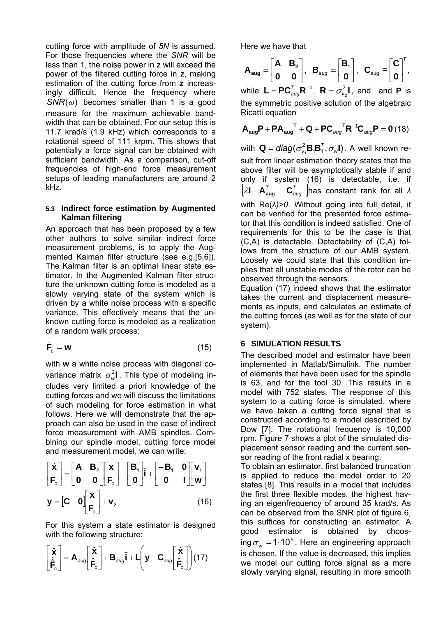cutting force with amplitude of *5N* is assumed. For those frequencies where the *SNR* will be less than 1, the noise power in **z** will exceed the power of the filtered cutting force in **z**, making estimation of the cutting force from **z** increasingly difficult. Hence the frequency where  $SNR(\omega)$  becomes smaller than 1 is a good measure for the maximum achievable bandwidth that can be obtained. For our setup this is 11.7 krad/s (1.9 kHz) which corresponds to a rotational speed of 111 krpm. This shows that potentially a force signal can be obtained with sufficient bandwidth. As a comparison, cut-off frequencies of high-end force measurement setups of leading manufacturers are around 2 kHz.

#### **5.3 Indirect force estimation by Augmented Kalman filtering**

An approach that has been proposed by a few other authors to solve similar indirect force measurement problems, is to apply the Augmented Kalman filter structure (see e.g.[5,6]). The Kalman filter is an optimal linear state estimator. In the Augmented Kalman filter structure the unknown cutting force is modeled as a slowly varying state of the system which is driven by a white noise process with a specific variance. This effectively means that the unknown cutting force is modeled as a realization of a random walk process:

$$
\dot{\mathsf{F}}_{c} = \mathsf{w} \tag{15}
$$

with **w** a white noise process with diagonal covariance matrix  $\sigma_w^2$ **I**. This type of modeling includes very limited a priori knowledge of the cutting forces and we will discuss the limitations of such modeling for force estimation in what follows. Here we will demonstrate that the approach can also be used in the case of indirect force measurement with AMB spindles. Combining our spindle model, cutting force model and measurement model, we can write:

$$
\begin{bmatrix} \dot{\mathbf{x}} \\ \dot{\mathbf{F}}_c \end{bmatrix} = \begin{bmatrix} \mathbf{A} & \mathbf{B}_2 \\ \mathbf{0} & \mathbf{0} \end{bmatrix} \begin{bmatrix} \mathbf{x} \\ \mathbf{F}_c \end{bmatrix} + \begin{bmatrix} \mathbf{B}_1 \\ \mathbf{0} \end{bmatrix} \mathbf{i} + \begin{bmatrix} -\mathbf{B}_1 & \mathbf{0} \\ \mathbf{0} & \mathbf{I} \end{bmatrix} \begin{bmatrix} \mathbf{v}_1 \\ \mathbf{w} \end{bmatrix}
$$

$$
\mathbf{\bar{y}} = \begin{bmatrix} \mathbf{C} & \mathbf{0} \end{bmatrix} \begin{bmatrix} \mathbf{x} \\ \mathbf{F}_c \end{bmatrix} + \mathbf{v}_2
$$
(16)

For this system a state estimator is designed with the following structure:

$$
\begin{bmatrix} \dot{\hat{\mathbf{x}}}\\ \dot{\hat{\mathbf{F}}}_{c} \end{bmatrix} = \mathbf{A}_{aug} \begin{bmatrix} \hat{\mathbf{x}}\\ \hat{\mathbf{F}}_{c} \end{bmatrix} + \mathbf{B}_{aug} \bar{\mathbf{i}} + \mathbf{L} \left( \overline{\mathbf{y}} - \mathbf{C}_{aug} \begin{bmatrix} \hat{\mathbf{x}}\\ \hat{\mathbf{F}}_{c} \end{bmatrix} \right) (17)
$$

Here we have that

$$
\boldsymbol{A}_{\text{aug}} = \begin{bmatrix} \boldsymbol{A} & \boldsymbol{B}_2 \\ \boldsymbol{0} & \boldsymbol{0} \end{bmatrix}, \ \ \boldsymbol{B}_{\text{aug}} = \begin{bmatrix} \boldsymbol{B}_1 \\ \boldsymbol{0} \end{bmatrix}, \ \ \boldsymbol{C}_{\text{aug}} = \begin{bmatrix} \boldsymbol{C} \\ \boldsymbol{0} \end{bmatrix}^T,
$$

while  $L = PC_{aug}^{T}R^{-1}$ ,  $R = \sigma_{v_2}^2 I$ , and and **P** is the symmetric positive solution of the algebraic Ricatti equation

$$
\boldsymbol{\mathsf{A}}_{\text{aug}}\boldsymbol{\mathsf{P}}+\boldsymbol{\mathsf{P}}\boldsymbol{\mathsf{A}}_{\text{aug}}^{\mathsf{T}}+\boldsymbol{\mathsf{Q}}+\boldsymbol{\mathsf{P}}\boldsymbol{\mathsf{C}}_{\text{aug}}^{\mathsf{T}}\boldsymbol{\mathsf{R}}^{-1}\boldsymbol{\mathsf{C}}_{\text{aug}}\boldsymbol{\mathsf{P}}=\boldsymbol{0} \ (18)
$$

with  $\mathbf{Q} = \textit{diag}(\sigma_{\nu_1}^2 \mathbf{B}_1 \mathbf{B}_1^T, \sigma_{\scriptscriptstyle{W}} \mathbf{I})$ . A well known result from linear estimation theory states that the above filter will be asymptotically stable if and only if system (16) is detectable, i.e. if  $\begin{bmatrix} \lambda \mathsf{I} - \mathsf{A}^{\tau}_{\mathsf{aug}} & \mathsf{C}^{\tau}_{\mathsf{aug}} \end{bmatrix}$  has constant rank for all  $\lambda$ with Re(*λ)>0*. Without going into full detail, it can be verified for the presented force estimator that this condition is indeed satisfied. One of requirements for this to be the case is that (C,A) is detectable. Detectability of (C,A) follows from the structure of our AMB system. Loosely we could state that this condition implies that all unstable modes of the rotor can be

observed through the sensors. Equation (17) indeed shows that the estimator takes the current and displacement measurements as inputs, and calculates an estimate of the cutting forces (as well as for the state of our system).

# **6 SIMULATION RESULTS**

The described model and estimator have been implemented in Matlab/Simulink. The number of elements that have been used for the spindle is 63, and for the tool 30. This results in a model with 752 states. The response of this system to a cutting force is simulated, where we have taken a cutting force signal that is constructed according to a model described by Dow [7]. The rotational frequency is 10,000 rpm. Figure 7 shows a plot of the simulated displacement sensor reading and the current sensor reading of the front radial x bearing.

To obtain an estimator, first balanced truncation is applied to reduce the model order to 20 states [8]. This results in a model that includes the first three flexible modes, the highest having an eigenfrequency of around 35 krad/s. As can be observed from the SNR plot of figure 6, this suffices for constructing an estimator. A good estimator is obtained by choosing  $\sigma_w = 1.10^5$ . Here an engineering approach is chosen. If the value is decreased, this implies we model our cutting force signal as a more slowly varying signal, resulting in more smooth